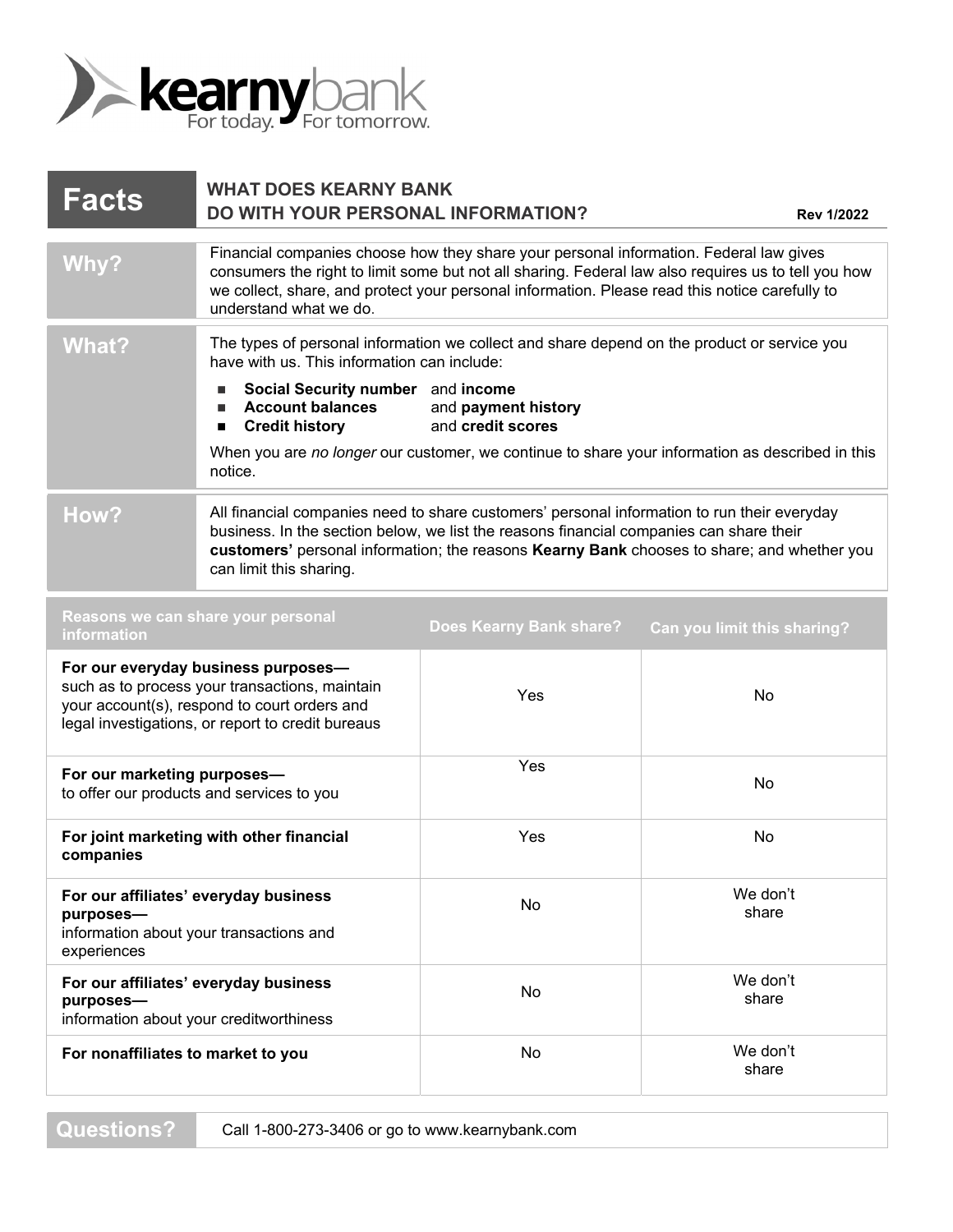

| <b>Facts</b>                                                                                                                                                                               | <b>WHAT DOES KEARNY BANK</b><br>DO WITH YOUR PERSONAL INFORMATION?                                                                                                                                                                                                                                                        |                                          | <b>Rev 1/2022</b>                                                                               |
|--------------------------------------------------------------------------------------------------------------------------------------------------------------------------------------------|---------------------------------------------------------------------------------------------------------------------------------------------------------------------------------------------------------------------------------------------------------------------------------------------------------------------------|------------------------------------------|-------------------------------------------------------------------------------------------------|
| Why?                                                                                                                                                                                       | Financial companies choose how they share your personal information. Federal law gives<br>consumers the right to limit some but not all sharing. Federal law also requires us to tell you how<br>we collect, share, and protect your personal information. Please read this notice carefully to<br>understand what we do. |                                          |                                                                                                 |
| <b>What?</b>                                                                                                                                                                               | The types of personal information we collect and share depend on the product or service you<br>have with us. This information can include:                                                                                                                                                                                |                                          |                                                                                                 |
|                                                                                                                                                                                            | Social Security number and income<br><b>Account balances</b><br><b>Credit history</b><br>■                                                                                                                                                                                                                                | and payment history<br>and credit scores |                                                                                                 |
|                                                                                                                                                                                            | notice.                                                                                                                                                                                                                                                                                                                   |                                          | When you are no longer our customer, we continue to share your information as described in this |
| How?                                                                                                                                                                                       | All financial companies need to share customers' personal information to run their everyday<br>business. In the section below, we list the reasons financial companies can share their<br>customers' personal information; the reasons Kearny Bank chooses to share; and whether you<br>can limit this sharing.           |                                          |                                                                                                 |
| Reasons we can share your personal<br>information                                                                                                                                          |                                                                                                                                                                                                                                                                                                                           | <b>Does Kearny Bank share?</b>           | Can you limit this sharing?                                                                     |
| For our everyday business purposes-<br>such as to process your transactions, maintain<br>your account(s), respond to court orders and<br>legal investigations, or report to credit bureaus |                                                                                                                                                                                                                                                                                                                           | Yes                                      | No                                                                                              |
| For our marketing purposes-<br>to offer our products and services to you                                                                                                                   |                                                                                                                                                                                                                                                                                                                           | Yes                                      | <b>No</b>                                                                                       |
| For joint marketing with other financial<br>companies                                                                                                                                      |                                                                                                                                                                                                                                                                                                                           | Yes                                      | No                                                                                              |
| For our affiliates' everyday business<br>purposes-<br>information about your transactions and<br>experiences                                                                               |                                                                                                                                                                                                                                                                                                                           | No                                       | We don't<br>share                                                                               |
| For our affiliates' everyday business<br>purposes-                                                                                                                                         |                                                                                                                                                                                                                                                                                                                           | No                                       | We don't<br>share                                                                               |

information about your creditworthiness

**Questions?** 

share